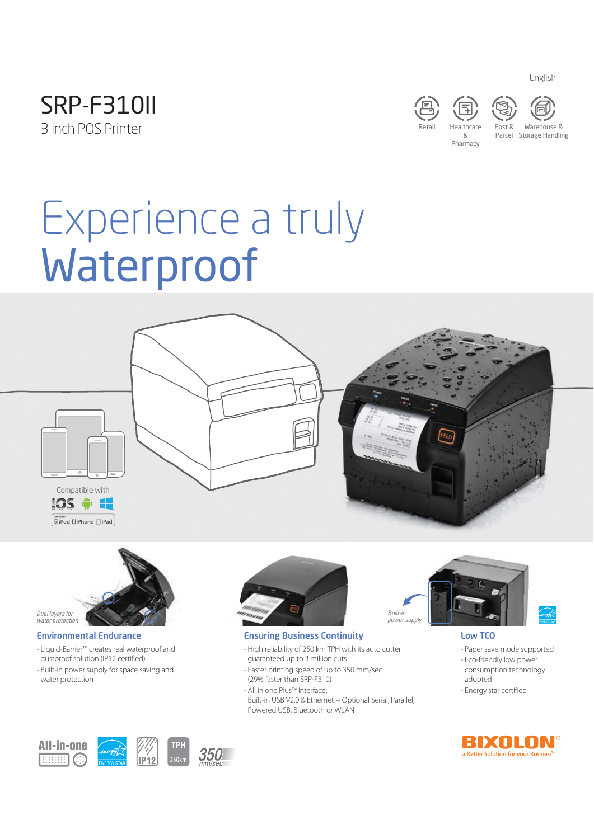







& Pharmacy Parcel Storage HandlingWarehouse &

English

# Waterproof Waterproof



# Dual layers for water protection

#### Environmental Endurance

- Liquid-Barrier™ creates real waterproof and dustproof solution (IP12 certified)
- Built-in power supply for space saving and water protection



#### Ensuring Business Continuity

- High reliability of 250 km TPH with its auto cutter guaranteed up to 3 million cuts
- Faster printing speed of up to 350 mm/sec (29% faster than SRP-F310)
- All in one Plus™ Interface: Built-in USB V2.0 & Ethernet + Optional Serial, Parallel, Powered USB, Bluetooth or WLAN



#### Low TCO

- Paper save mode supported
- Eco-friendly low power consumption technology adopted
- Energy star certified